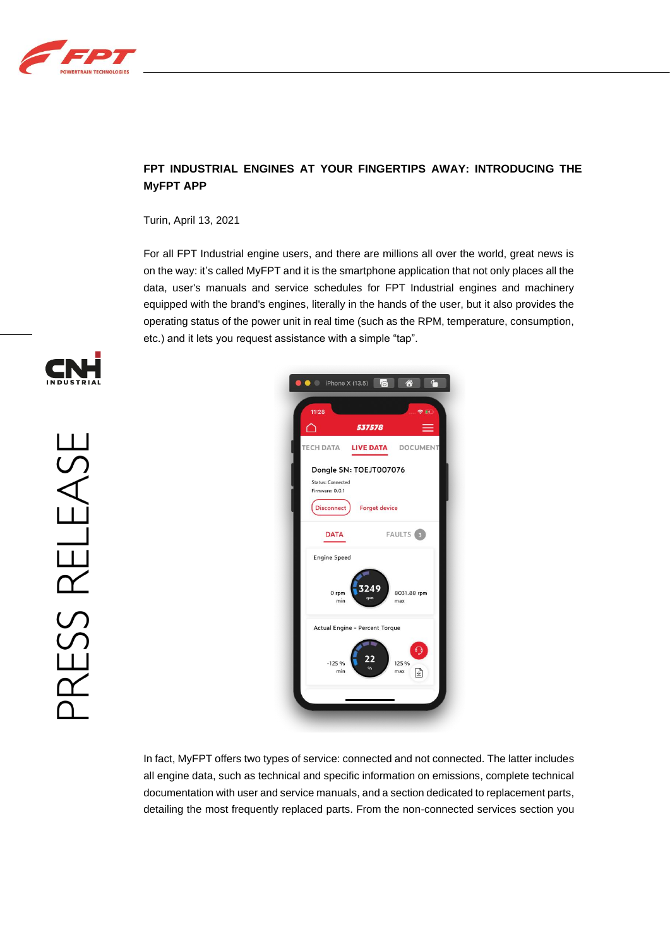

## **FPT INDUSTRIAL ENGINES AT YOUR FINGERTIPS AWAY: INTRODUCING THE MyFPT APP**

Turin, April 13, 2021

For all FPT Industrial engine users, and there are millions all over the world, great news is on the way: it's called MyFPT and it is the smartphone application that not only places all the data, user's manuals and service schedules for FPT Industrial engines and machinery equipped with the brand's engines, literally in the hands of the user, but it also provides the operating status of the power unit in real time (such as the RPM, temperature, consumption, etc.) and it lets you request assistance with a simple "tap".





In fact, MyFPT offers two types of service: connected and not connected. The latter includes all engine data, such as technical and specific information on emissions, complete technical documentation with user and service manuals, and a section dedicated to replacement parts, detailing the most frequently replaced parts. From the non-connected services section you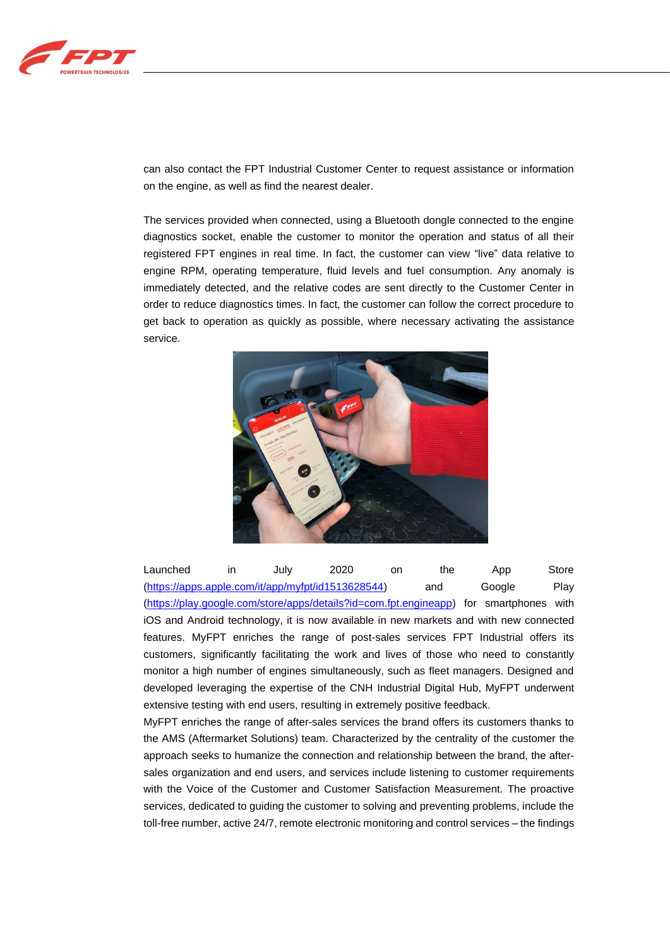

can also contact the FPT Industrial Customer Center to request assistance or information on the engine, as well as find the nearest dealer.

The services provided when connected, using a Bluetooth dongle connected to the engine diagnostics socket, enable the customer to monitor the operation and status of all their registered FPT engines in real time. In fact, the customer can view "live" data relative to engine RPM, operating temperature, fluid levels and fuel consumption. Any anomaly is immediately detected, and the relative codes are sent directly to the Customer Center in order to reduce diagnostics times. In fact, the customer can follow the correct procedure to get back to operation as quickly as possible, where necessary activating the assistance service.



Launched in July 2020 on the App Store [\(https://apps.apple.com/it/app/myfpt/id1513628544\)](https://apps.apple.com/it/app/myfpt/id1513628544) and Google Play [\(https://play.google.com/store/apps/details?id=com.fpt.engineapp\)](https://play.google.com/store/apps/details?id=com.fpt.engineapp) for smartphones with iOS and Android technology, it is now available in new markets and with new connected features. MyFPT enriches the range of post-sales services FPT Industrial offers its customers, significantly facilitating the work and lives of those who need to constantly monitor a high number of engines simultaneously, such as fleet managers. Designed and developed leveraging the expertise of the CNH Industrial Digital Hub, MyFPT underwent extensive testing with end users, resulting in extremely positive feedback.

MyFPT enriches the range of after-sales services the brand offers its customers thanks to the AMS (Aftermarket Solutions) team. Characterized by the centrality of the customer the approach seeks to humanize the connection and relationship between the brand, the aftersales organization and end users, and services include listening to customer requirements with the Voice of the Customer and Customer Satisfaction Measurement. The proactive services, dedicated to guiding the customer to solving and preventing problems, include the toll-free number, active 24/7, remote electronic monitoring and control services – the findings